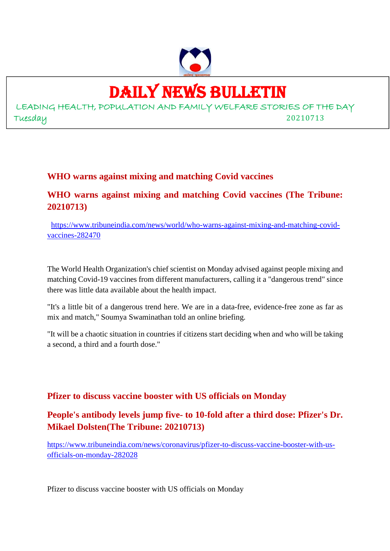

# DAILY NEWS BULLETIN

LEADING HEALTH, POPULATION AND FAMILY WELFARE STORIES OF THE DAY Tuesday 20210713

#### **WHO warns against mixing and matching Covid vaccines**

### **WHO warns against mixing and matching Covid vaccines (The Tribune: 20210713)**

https://www.tribuneindia.com/news/world/who-warns-against-mixing-and-matching-covidvaccines-282470

The World Health Organization's chief scientist on Monday advised against people mixing and matching Covid-19 vaccines from different manufacturers, calling it a "dangerous trend" since there was little data available about the health impact.

"It's a little bit of a dangerous trend here. We are in a data-free, evidence-free zone as far as mix and match," Soumya Swaminathan told an online briefing.

"It will be a chaotic situation in countries if citizens start deciding when and who will be taking a second, a third and a fourth dose."

#### **Pfizer to discuss vaccine booster with US officials on Monday**

#### **People's antibody levels jump five- to 10-fold after a third dose: Pfizer's Dr. Mikael Dolsten(The Tribune: 20210713)**

https://www.tribuneindia.com/news/coronavirus/pfizer-to-discuss-vaccine-booster-with-usofficials-on-monday-282028

Pfizer to discuss vaccine booster with US officials on Monday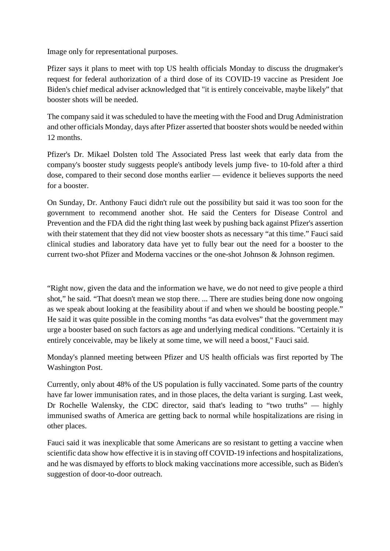Image only for representational purposes.

Pfizer says it plans to meet with top US health officials Monday to discuss the drugmaker's request for federal authorization of a third dose of its COVID-19 vaccine as President Joe Biden's chief medical adviser acknowledged that "it is entirely conceivable, maybe likely" that booster shots will be needed.

The company said it was scheduled to have the meeting with the Food and Drug Administration and other officials Monday, days after Pfizer asserted that booster shots would be needed within 12 months.

Pfizer's Dr. Mikael Dolsten told The Associated Press last week that early data from the company's booster study suggests people's antibody levels jump five- to 10-fold after a third dose, compared to their second dose months earlier — evidence it believes supports the need for a booster.

On Sunday, Dr. Anthony Fauci didn't rule out the possibility but said it was too soon for the government to recommend another shot. He said the Centers for Disease Control and Prevention and the FDA did the right thing last week by pushing back against Pfizer's assertion with their statement that they did not view booster shots as necessary "at this time." Fauci said clinical studies and laboratory data have yet to fully bear out the need for a booster to the current two-shot Pfizer and Moderna vaccines or the one-shot Johnson & Johnson regimen.

"Right now, given the data and the information we have, we do not need to give people a third shot," he said. "That doesn't mean we stop there. ... There are studies being done now ongoing as we speak about looking at the feasibility about if and when we should be boosting people." He said it was quite possible in the coming months "as data evolves" that the government may urge a booster based on such factors as age and underlying medical conditions. "Certainly it is entirely conceivable, may be likely at some time, we will need a boost,'' Fauci said.

Monday's planned meeting between Pfizer and US health officials was first reported by The Washington Post.

Currently, only about 48% of the US population is fully vaccinated. Some parts of the country have far lower immunisation rates, and in those places, the delta variant is surging. Last week, Dr Rochelle Walensky, the CDC director, said that's leading to "two truths" — highly immunised swaths of America are getting back to normal while hospitalizations are rising in other places.

Fauci said it was inexplicable that some Americans are so resistant to getting a vaccine when scientific data show how effective it is in staving off COVID-19 infections and hospitalizations, and he was dismayed by efforts to block making vaccinations more accessible, such as Biden's suggestion of door-to-door outreach.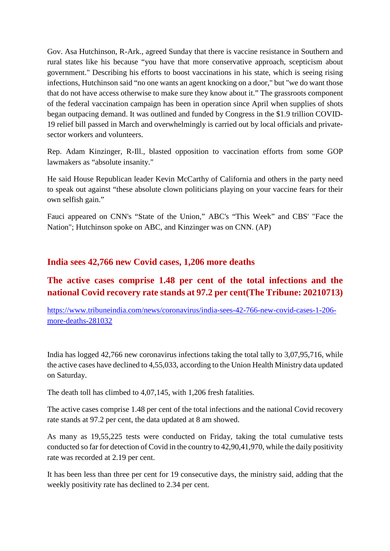Gov. Asa Hutchinson, R-Ark., agreed Sunday that there is vaccine resistance in Southern and rural states like his because "you have that more conservative approach, scepticism about government." Describing his efforts to boost vaccinations in his state, which is seeing rising infections, Hutchinson said "no one wants an agent knocking on a door," but "we do want those that do not have access otherwise to make sure they know about it." The grassroots component of the federal vaccination campaign has been in operation since April when supplies of shots began outpacing demand. It was outlined and funded by Congress in the \$1.9 trillion COVID-19 relief bill passed in March and overwhelmingly is carried out by local officials and privatesector workers and volunteers.

Rep. Adam Kinzinger, R-Ill., blasted opposition to vaccination efforts from some GOP lawmakers as "absolute insanity."

He said House Republican leader Kevin McCarthy of California and others in the party need to speak out against "these absolute clown politicians playing on your vaccine fears for their own selfish gain."

Fauci appeared on CNN's "State of the Union," ABC's "This Week" and CBS' "Face the Nation"; Hutchinson spoke on ABC, and Kinzinger was on CNN. (AP)

#### **India sees 42,766 new Covid cases, 1,206 more deaths**

## **The active cases comprise 1.48 per cent of the total infections and the national Covid recovery rate stands at 97.2 per cent(The Tribune: 20210713)**

https://www.tribuneindia.com/news/coronavirus/india-sees-42-766-new-covid-cases-1-206 more-deaths-281032

India has logged 42,766 new coronavirus infections taking the total tally to 3,07,95,716, while the active cases have declined to 4,55,033, according to the Union Health Ministry data updated on Saturday.

The death toll has climbed to 4,07,145, with 1,206 fresh fatalities.

The active cases comprise 1.48 per cent of the total infections and the national Covid recovery rate stands at 97.2 per cent, the data updated at 8 am showed.

As many as 19,55,225 tests were conducted on Friday, taking the total cumulative tests conducted so far for detection of Covid in the country to 42,90,41,970, while the daily positivity rate was recorded at 2.19 per cent.

It has been less than three per cent for 19 consecutive days, the ministry said, adding that the weekly positivity rate has declined to 2.34 per cent.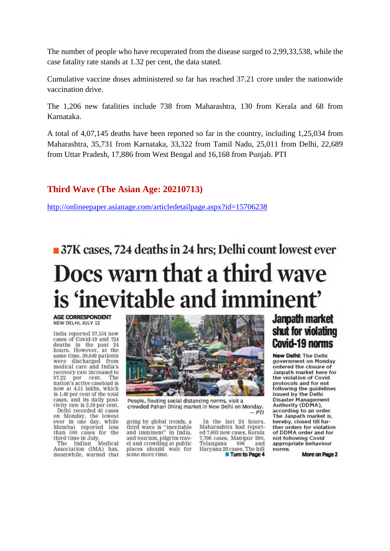The number of people who have recuperated from the disease surged to 2,99,33,538, while the case fatality rate stands at 1.32 per cent, the data stated.

Cumulative vaccine doses administered so far has reached 37.21 crore under the nationwide vaccination drive.

The 1,206 new fatalities include 738 from Maharashtra, 130 from Kerala and 68 from Karnataka.

A total of 4,07,145 deaths have been reported so far in the country, including 1,25,034 from Maharashtra, 35,731 from Karnataka, 33,322 from Tamil Nadu, 25,011 from Delhi, 22,689 from Uttar Pradesh, 17,886 from West Bengal and 16,168 from Punjab. PTI

#### **Third Wave (The Asian Age: 20210713)**

http://onlineepaper.asianage.com/articledetailpage.aspx?id=15706238

# 37K cases, 724 deaths in 24 hrs; Delhi count lowest ever Docs warn that a third wave is 'inevitable and imminent'

**AGE CORRESPONDENT** NEW DELHI, JULY 12

India reported 37,154 new cases of Covid-19 and 724 deaths in the past 24<br>hours. However, at the same time, 39,649 patients were discharged from medical care and India's recovery rate increased to 97.22 per cent. The nation's active caseload is now at 4.51 lakhs, which is 1.46 per cent of the total cases, and its daily positivity rate is 2,59 per cent.

Delhi recorded 45 cases on Monday, the lowest<br>ever in one day, while<br>Mumbai reported less<br>than 500 cases for the than 500 cases for the<br>third time in July.<br>The Indian Medical

Association (IMA) has, meanwhile, warned that



People, flouting social distancing norms, visit a crowded Pahari Dhiraj market in New Delhi on Monday.  $-PTI$ 

going by global trends, a third wave is "inevitable<br>and imminent" in India, and tourism, pilgrim travel and crowding at public places should wait for some more time.

In the last 24 hours. Maharashtra had reported 7,603 new cases. Kerala 7,798 cases, Manipur 890,<br>Telangana 696 and 696 Haryana 28 cases. The hill Turn to Page 4

## **Janpath market** shut for violating **Covid-19 norms**

**New Delhi: The Delhi** government on Monday ordered the closure of Janpath market here for the violation of Covid protocols and for not<br>following the guidelines issued by the Delhi **Disaster Management** Authority (DDMA), according to an order. The Janpath market is. hereby, closed till further orders for violation of DDMA order and for not following Covid appropriate behaviour norms

More on Page 2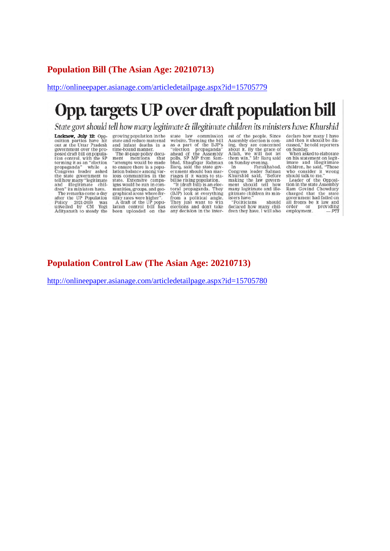#### **Population Bill (The Asian Age: 20210713)**

http://onlineepaper.asianage.com/articledetailpage.aspx?id=15705779

# Opp. targets UP over draft population bill

State govt should tell how many legitimate & illegitimate children its ministers have: Khurshid

**Lucknow, July 12:** Opposition parties have hit out at the Uttar Pradesh government over the proposed draft bill on populaposed draft bill on population<br>tion control, with the SP<br>terming it as an "election<br>propaganda" while a<br>Congress leader asked<br>the state government to<br>tell how many "legitimate<br>and "llegitimate" than<br>therm" its ministers ha The remarks come a day<br>after the UP Population<br>Policy 2021-2030 was<br>unveiled by CM Yogi<br>Adityanath to steady the

growing population in the state and reduce maternal<br>and infant deaths in a<br>time-bound manner.

The 40-page policy document<br>ment mentions that<br>"attempts would be made ment to ensure there is a population balance among var-Factor cannot extract in the<br>state. Extensive campaigns would be run in communities, groups, and geographical areas where ferstrainteners<br>
A draft of the UP population<br>
A draft of the UP population<br>
control bill has<br>
been uploaded on the Fraction and the material state law commission<br>website. Terming the bill<br>as a part of the BJP's<br>"election propaganda"<br>ahead of the Assembly<br>polls, SP MP from Sam-<br>band ban mar-<br>Barq, said the state gov-<br>enter should ban ma ernment snound oan mar-<br>riages if it wants to sta-<br>billse rising population.<br>"It (draft bill) is an elec-<br>toral propaganda. They<br>(BJP) look at everything

from a political angle.<br>They just want to win<br>elections and don't take any decision in the inter-

est of the people. Since est of the people. Since<br>Assembly election is com-<br>ing, they are concerned<br>about it. By the grace of<br>Allah, we will not let<br>them win," Mr Barq said

them win," Mr Barq said<br>on Sunday evening.<br>In Farukhabad,<br>Congress leader Salman<br>Khurshid said, "Before<br>making the law govern-<br>ment should tell how<br>many legitimate and ille-<br>girmate children its min-<br>girmate children its m isters have.

"Politicians should declared how many chil-<br>dren they have. I will also

For the Castle have may 1 have<br>and then it should be discussed," he told reporters<br>on Sunday.<br>When asked to elaborate<br>on Sunday.<br>When asked to elaborate<br>indice and illegit finance<br>childran, he said, "Those<br>should talk to m

Ram Govind Chowdury<br>charged that the state<br>government had failed on all fronts be it law and<br>order or providing<br>employment. - PTI

#### **Population Control Law (The Asian Age: 20210713)**

http://onlineepaper.asianage.com/articledetailpage.aspx?id=15705780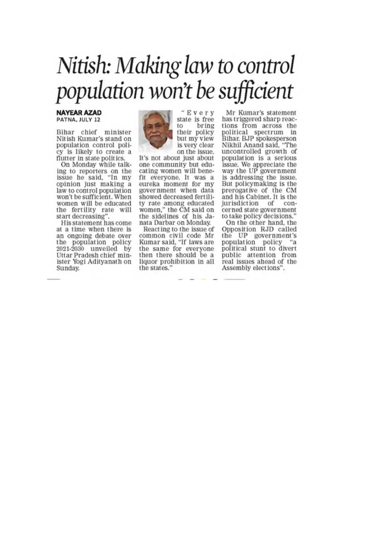# Nitish: Making law to control population won't be sufficient

#### **NAYEAR AZAD** PATNA, JULY 12

Bihar chief minister Nitish Kumar's stand on population control policy is likely to create a flutter in state politics.

On Monday while talking to reporters on the<br>issue he said, "In my opinion just making a law to control population won't be sufficient. When women will be educated the fertility rate will start decreasing".<br>His statement has come

at a time when there is an ongoing debate over the population policy 2021-2030 unveiled by Uttar Pradesh chief minister Yogi Adityanath on Sunday.



"Every state is free bring to their policy but my view is very clear on the issue.

It's not about just about one community but educating women will benefit everyone. It was a eureka moment for my government when data showed decreased fertility rate among educated women," the CM said on the sidelines of his Janata Darbar on Monday.

Reacting to the issue of common civil code Mr Kumar said, "If laws are the same for everyone then there should be a liquor prohibition in all the states.

Mr Kumar's statement has triggered sharp reactions from across the political spectrum in<br>Bihar. BJP spokesperson Nikhil Anand said, "The uncontrolled growth of population is a serious issue. We appreciate the<br>way the UP government is addressing the issue. But policymaking is the prerogative of the CM and his Cabinet. It is the jurisdiction of concerned state government to take policy decisions.

On the other hand, the Opposition RJD called the UP government's population policy "а political stunt to divert public attention from real issues ahead of the Assembly elections".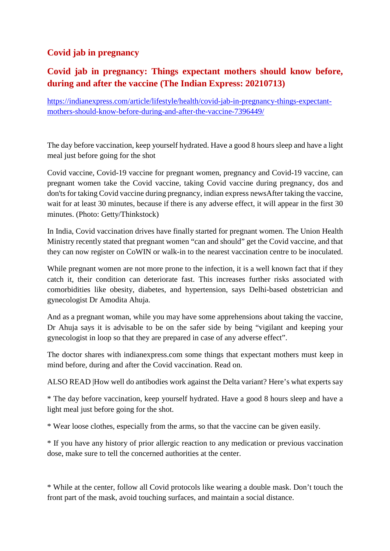## **Covid jab in pregnancy**

## **Covid jab in pregnancy: Things expectant mothers should know before, during and after the vaccine (The Indian Express: 20210713)**

https://indianexpress.com/article/lifestyle/health/covid-jab-in-pregnancy-things-expectantmothers-should-know-before-during-and-after-the-vaccine-7396449/

The day before vaccination, keep yourself hydrated. Have a good 8 hours sleep and have a light meal just before going for the shot

Covid vaccine, Covid-19 vaccine for pregnant women, pregnancy and Covid-19 vaccine, can pregnant women take the Covid vaccine, taking Covid vaccine during pregnancy, dos and don'ts for taking Covid vaccine during pregnancy, indian express newsAfter taking the vaccine, wait for at least 30 minutes, because if there is any adverse effect, it will appear in the first 30 minutes. (Photo: Getty/Thinkstock)

In India, Covid vaccination drives have finally started for pregnant women. The Union Health Ministry recently stated that pregnant women "can and should" get the Covid vaccine, and that they can now register on CoWIN or walk-in to the nearest vaccination centre to be inoculated.

While pregnant women are not more prone to the infection, it is a well known fact that if they catch it, their condition can deteriorate fast. This increases further risks associated with comorbidities like obesity, diabetes, and hypertension, says Delhi-based obstetrician and gynecologist Dr Amodita Ahuja.

And as a pregnant woman, while you may have some apprehensions about taking the vaccine, Dr Ahuja says it is advisable to be on the safer side by being "vigilant and keeping your gynecologist in loop so that they are prepared in case of any adverse effect".

The doctor shares with indianexpress.com some things that expectant mothers must keep in mind before, during and after the Covid vaccination. Read on.

ALSO READ |How well do antibodies work against the Delta variant? Here's what experts say

\* The day before vaccination, keep yourself hydrated. Have a good 8 hours sleep and have a light meal just before going for the shot.

\* Wear loose clothes, especially from the arms, so that the vaccine can be given easily.

\* If you have any history of prior allergic reaction to any medication or previous vaccination dose, make sure to tell the concerned authorities at the center.

\* While at the center, follow all Covid protocols like wearing a double mask. Don't touch the front part of the mask, avoid touching surfaces, and maintain a social distance.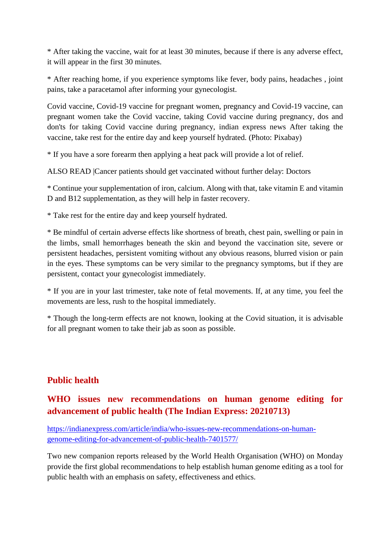\* After taking the vaccine, wait for at least 30 minutes, because if there is any adverse effect, it will appear in the first 30 minutes.

\* After reaching home, if you experience symptoms like fever, body pains, headaches , joint pains, take a paracetamol after informing your gynecologist.

Covid vaccine, Covid-19 vaccine for pregnant women, pregnancy and Covid-19 vaccine, can pregnant women take the Covid vaccine, taking Covid vaccine during pregnancy, dos and don'ts for taking Covid vaccine during pregnancy, indian express news After taking the vaccine, take rest for the entire day and keep yourself hydrated. (Photo: Pixabay)

\* If you have a sore forearm then applying a heat pack will provide a lot of relief.

ALSO READ |Cancer patients should get vaccinated without further delay: Doctors

\* Continue your supplementation of iron, calcium. Along with that, take vitamin E and vitamin D and B12 supplementation, as they will help in faster recovery.

\* Take rest for the entire day and keep yourself hydrated.

\* Be mindful of certain adverse effects like shortness of breath, chest pain, swelling or pain in the limbs, small hemorrhages beneath the skin and beyond the vaccination site, severe or persistent headaches, persistent vomiting without any obvious reasons, blurred vision or pain in the eyes. These symptoms can be very similar to the pregnancy symptoms, but if they are persistent, contact your gynecologist immediately.

\* If you are in your last trimester, take note of fetal movements. If, at any time, you feel the movements are less, rush to the hospital immediately.

\* Though the long-term effects are not known, looking at the Covid situation, it is advisable for all pregnant women to take their jab as soon as possible.

#### **Public health**

## **WHO issues new recommendations on human genome editing for advancement of public health (The Indian Express: 20210713)**

https://indianexpress.com/article/india/who-issues-new-recommendations-on-humangenome-editing-for-advancement-of-public-health-7401577/

Two new companion reports released by the World Health Organisation (WHO) on Monday provide the first global recommendations to help establish human genome editing as a tool for public health with an emphasis on safety, effectiveness and ethics.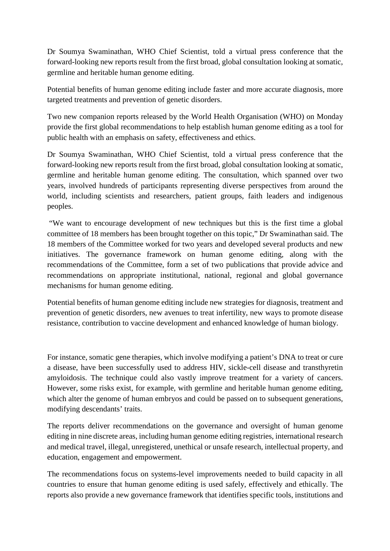Dr Soumya Swaminathan, WHO Chief Scientist, told a virtual press conference that the forward-looking new reports result from the first broad, global consultation looking at somatic, germline and heritable human genome editing.

Potential benefits of human genome editing include faster and more accurate diagnosis, more targeted treatments and prevention of genetic disorders.

Two new companion reports released by the World Health Organisation (WHO) on Monday provide the first global recommendations to help establish human genome editing as a tool for public health with an emphasis on safety, effectiveness and ethics.

Dr Soumya Swaminathan, WHO Chief Scientist, told a virtual press conference that the forward-looking new reports result from the first broad, global consultation looking at somatic, germline and heritable human genome editing. The consultation, which spanned over two years, involved hundreds of participants representing diverse perspectives from around the world, including scientists and researchers, patient groups, faith leaders and indigenous peoples.

"We want to encourage development of new techniques but this is the first time a global committee of 18 members has been brought together on this topic," Dr Swaminathan said. The 18 members of the Committee worked for two years and developed several products and new initiatives. The governance framework on human genome editing, along with the recommendations of the Committee, form a set of two publications that provide advice and recommendations on appropriate institutional, national, regional and global governance mechanisms for human genome editing.

Potential benefits of human genome editing include new strategies for diagnosis, treatment and prevention of genetic disorders, new avenues to treat infertility, new ways to promote disease resistance, contribution to vaccine development and enhanced knowledge of human biology.

For instance, somatic gene therapies, which involve modifying a patient's DNA to treat or cure a disease, have been successfully used to address HIV, sickle-cell disease and transthyretin amyloidosis. The technique could also vastly improve treatment for a variety of cancers. However, some risks exist, for example, with germline and heritable human genome editing, which alter the genome of human embryos and could be passed on to subsequent generations, modifying descendants' traits.

The reports deliver recommendations on the governance and oversight of human genome editing in nine discrete areas, including human genome editing registries, international research and medical travel, illegal, unregistered, unethical or unsafe research, intellectual property, and education, engagement and empowerment.

The recommendations focus on systems-level improvements needed to build capacity in all countries to ensure that human genome editing is used safely, effectively and ethically. The reports also provide a new governance framework that identifies specific tools, institutions and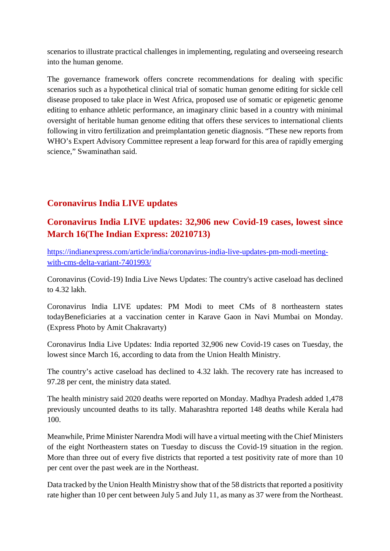scenarios to illustrate practical challenges in implementing, regulating and overseeing research into the human genome.

The governance framework offers concrete recommendations for dealing with specific scenarios such as a hypothetical clinical trial of somatic human genome editing for sickle cell disease proposed to take place in West Africa, proposed use of somatic or epigenetic genome editing to enhance athletic performance, an imaginary clinic based in a country with minimal oversight of heritable human genome editing that offers these services to international clients following in vitro fertilization and preimplantation genetic diagnosis. "These new reports from WHO's Expert Advisory Committee represent a leap forward for this area of rapidly emerging science," Swaminathan said.

#### **Coronavirus India LIVE updates**

#### **Coronavirus India LIVE updates: 32,906 new Covid-19 cases, lowest since March 16(The Indian Express: 20210713)**

https://indianexpress.com/article/india/coronavirus-india-live-updates-pm-modi-meetingwith-cms-delta-variant-7401993/

Coronavirus (Covid-19) India Live News Updates: The country's active caseload has declined to 4.32 lakh.

Coronavirus India LIVE updates: PM Modi to meet CMs of 8 northeastern states todayBeneficiaries at a vaccination center in Karave Gaon in Navi Mumbai on Monday. (Express Photo by Amit Chakravarty)

Coronavirus India Live Updates: India reported 32,906 new Covid-19 cases on Tuesday, the lowest since March 16, according to data from the Union Health Ministry.

The country's active caseload has declined to 4.32 lakh. The recovery rate has increased to 97.28 per cent, the ministry data stated.

The health ministry said 2020 deaths were reported on Monday. Madhya Pradesh added 1,478 previously uncounted deaths to its tally. Maharashtra reported 148 deaths while Kerala had 100.

Meanwhile, Prime Minister Narendra Modi will have a virtual meeting with the Chief Ministers of the eight Northeastern states on Tuesday to discuss the Covid-19 situation in the region. More than three out of every five districts that reported a test positivity rate of more than 10 per cent over the past week are in the Northeast.

Data tracked by the Union Health Ministry show that of the 58 districts that reported a positivity rate higher than 10 per cent between July 5 and July 11, as many as 37 were from the Northeast.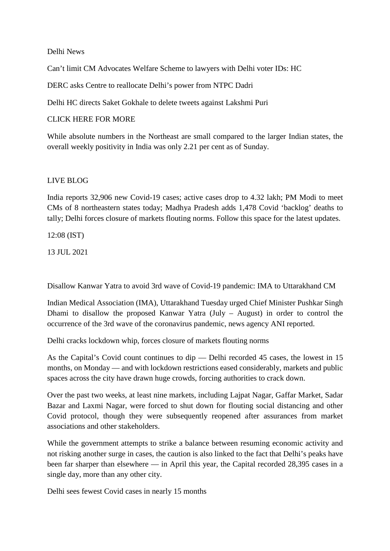#### Delhi News

Can't limit CM Advocates Welfare Scheme to lawyers with Delhi voter IDs: HC

DERC asks Centre to reallocate Delhi's power from NTPC Dadri

Delhi HC directs Saket Gokhale to delete tweets against Lakshmi Puri

#### CLICK HERE FOR MORE

While absolute numbers in the Northeast are small compared to the larger Indian states, the overall weekly positivity in India was only 2.21 per cent as of Sunday.

#### LIVE BLOG

India reports 32,906 new Covid-19 cases; active cases drop to 4.32 lakh; PM Modi to meet CMs of 8 northeastern states today; Madhya Pradesh adds 1,478 Covid 'backlog' deaths to tally; Delhi forces closure of markets flouting norms. Follow this space for the latest updates.

12:08 (IST)

13 JUL 2021

Disallow Kanwar Yatra to avoid 3rd wave of Covid-19 pandemic: IMA to Uttarakhand CM

Indian Medical Association (IMA), Uttarakhand Tuesday urged Chief Minister Pushkar Singh Dhami to disallow the proposed Kanwar Yatra (July – August) in order to control the occurrence of the 3rd wave of the coronavirus pandemic, news agency ANI reported.

Delhi cracks lockdown whip, forces closure of markets flouting norms

As the Capital's Covid count continues to dip — Delhi recorded 45 cases, the lowest in 15 months, on Monday — and with lockdown restrictions eased considerably, markets and public spaces across the city have drawn huge crowds, forcing authorities to crack down.

Over the past two weeks, at least nine markets, including Lajpat Nagar, Gaffar Market, Sadar Bazar and Laxmi Nagar, were forced to shut down for flouting social distancing and other Covid protocol, though they were subsequently reopened after assurances from market associations and other stakeholders.

While the government attempts to strike a balance between resuming economic activity and not risking another surge in cases, the caution is also linked to the fact that Delhi's peaks have been far sharper than elsewhere — in April this year, the Capital recorded 28,395 cases in a single day, more than any other city.

Delhi sees fewest Covid cases in nearly 15 months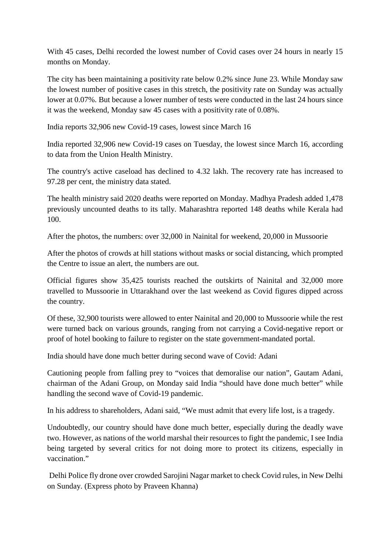With 45 cases, Delhi recorded the lowest number of Covid cases over 24 hours in nearly 15 months on Monday.

The city has been maintaining a positivity rate below 0.2% since June 23. While Monday saw the lowest number of positive cases in this stretch, the positivity rate on Sunday was actually lower at 0.07%. But because a lower number of tests were conducted in the last 24 hours since it was the weekend, Monday saw 45 cases with a positivity rate of 0.08%.

India reports 32,906 new Covid-19 cases, lowest since March 16

India reported 32,906 new Covid-19 cases on Tuesday, the lowest since March 16, according to data from the Union Health Ministry.

The country's active caseload has declined to 4.32 lakh. The recovery rate has increased to 97.28 per cent, the ministry data stated.

The health ministry said 2020 deaths were reported on Monday. Madhya Pradesh added 1,478 previously uncounted deaths to its tally. Maharashtra reported 148 deaths while Kerala had 100.

After the photos, the numbers: over 32,000 in Nainital for weekend, 20,000 in Mussoorie

After the photos of crowds at hill stations without masks or social distancing, which prompted the Centre to issue an alert, the numbers are out.

Official figures show 35,425 tourists reached the outskirts of Nainital and 32,000 more travelled to Mussoorie in Uttarakhand over the last weekend as Covid figures dipped across the country.

Of these, 32,900 tourists were allowed to enter Nainital and 20,000 to Mussoorie while the rest were turned back on various grounds, ranging from not carrying a Covid-negative report or proof of hotel booking to failure to register on the state government-mandated portal.

India should have done much better during second wave of Covid: Adani

Cautioning people from falling prey to "voices that demoralise our nation", Gautam Adani, chairman of the Adani Group, on Monday said India "should have done much better" while handling the second wave of Covid-19 pandemic.

In his address to shareholders, Adani said, "We must admit that every life lost, is a tragedy.

Undoubtedly, our country should have done much better, especially during the deadly wave two. However, as nations of the world marshal their resources to fight the pandemic, I see India being targeted by several critics for not doing more to protect its citizens, especially in vaccination."

Delhi Police fly drone over crowded Sarojini Nagar market to check Covid rules, in New Delhi on Sunday. (Express photo by Praveen Khanna)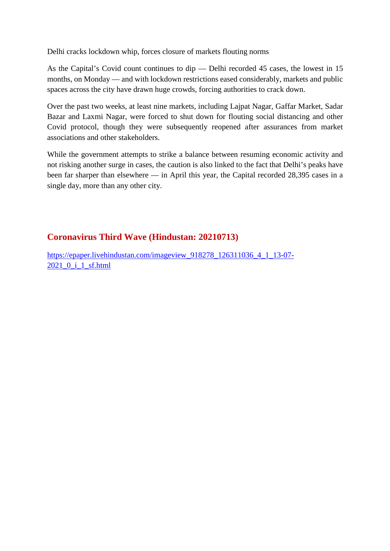Delhi cracks lockdown whip, forces closure of markets flouting norms

As the Capital's Covid count continues to dip — Delhi recorded 45 cases, the lowest in 15 months, on Monday — and with lockdown restrictions eased considerably, markets and public spaces across the city have drawn huge crowds, forcing authorities to crack down.

Over the past two weeks, at least nine markets, including Lajpat Nagar, Gaffar Market, Sadar Bazar and Laxmi Nagar, were forced to shut down for flouting social distancing and other Covid protocol, though they were subsequently reopened after assurances from market associations and other stakeholders.

While the government attempts to strike a balance between resuming economic activity and not risking another surge in cases, the caution is also linked to the fact that Delhi's peaks have been far sharper than elsewhere — in April this year, the Capital recorded 28,395 cases in a single day, more than any other city.

#### **Coronavirus Third Wave (Hindustan: 20210713)**

https://epaper.livehindustan.com/imageview\_918278\_126311036\_4\_1\_13-07- 2021\_0\_i\_1\_sf.html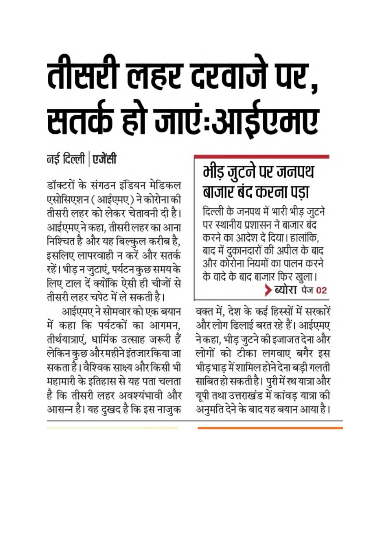# तीसरी लहर दरवाजे पर, सतर्क हो जाएं:आईएमए

नई दिल्ली | एजेंसी

डॉक्टरों के संगठन इंडियन मेडिकल एसोसिएशन (आईएमए) ने कोरोना की तीसरी लहर को लेकर चेतावनी दी है। आईएमए ने कहा, तीसरी लहर का आना निश्चित है और यह बिल्कुल करीब है, इसलिए लापरवाही न करें और सतर्क रहें। भीड़ न जुटाएं, पर्यटन कुछ समय के लिए टाल दें क्योंकि ऐसी ही चीजों से तीसरी लहर चपेट में ले सकती है।

आईएमए ने सोमवार को एक बयान में कहा कि पर्यटकों का आगमन, तीर्थयात्राएं, धार्मिक उत्साह जरूरी हैं लेकिन कुछ और महीने इंतजार किया जा सकता है। वैश्विक साक्ष्य और किसी भी महामारी के इतिहास से यह पता चलता है कि तीसरी लहर अवश्यंभावी और आसन्न है। यह दुखद है कि इस नाजुक

# भीड़ जुटने पर जनपथ बाजार बंद करना पड़ा

दिल्ली के जनपथ में भारी भीड़ जुटने पर स्थानीय प्रशासन ने बाजार बंद करने का आदेश दे दिया। हालांकि, बाद में दुकानदारों की अपील के बाद और कोरोना नियमों का पालन करने के वादे के बाद बाजार फिर खुला। > ब्योरा पेज 02

वक्त में. देश के कई हिस्सों में सरकारें और लोग ढिलाई बरत रहे हैं। आईएमए ने कहा, भीड़ जुटने की इजाजत देना और लोगों को टीका लगवाए बगैर इस भीड़भाड़ में शामिल होने देना बड़ी गलती साबित हो सकती है। पुरी में रथ यात्रा और यूपी तथा उत्तराखंड में कांवड़ यात्रा की अनुमति देने के बाद यह बयान आया है।